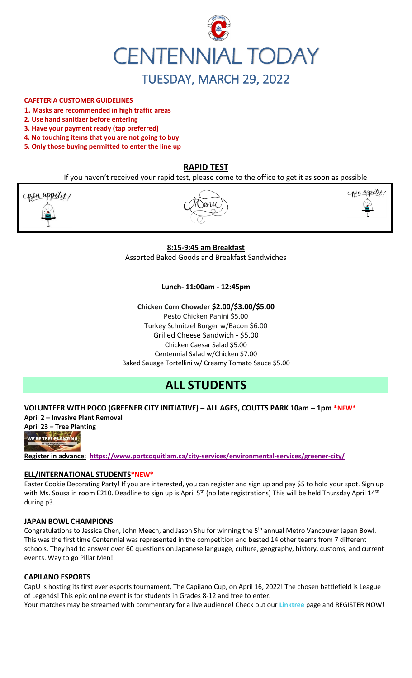

# **CAFETERIA CUSTOMER GUIDELINES**

- **1. Masks are recommended in high traffic areas**
- **2. Use hand sanitizer before entering**
- **3. Have your payment ready (tap preferred)**
- **4. No touching items that you are not going to buy**
- **5. Only those buying permitted to enter the line up**

# **RAPID TEST**

If you haven't received your rapid test, please come to the office to get it as soon as possible

pon appetit!





#### **8:15-9:45 am Breakfast**

Assorted Baked Goods and Breakfast Sandwiches

### **Lunch- 11:00am - 12:45pm**

**Chicken Corn Chowder \$2.00/\$3.00/\$5.00** Pesto Chicken Panini \$5.00 Turkey Schnitzel Burger w/Bacon \$6.00 Grilled Cheese Sandwich - \$5.00 Chicken Caesar Salad \$5.00 Centennial Salad w/Chicken \$7.00 Baked Sauage Tortellini w/ Creamy Tomato Sauce \$5.00

# **ALL STUDENTS**

#### **VOLUNTEER WITH POCO (GREENER CITY INITIATIVE) – ALL AGES, COUTTS PARK 10am – 1pm \*NEW\***

**April 2 – Invasive Plant Removal**



**Register in advance: <https://www.portcoquitlam.ca/city-services/environmental-services/greener-city/>**

#### **ELL/INTERNATIONAL STUDENTS\*NEW\***

Easter Cookie Decorating Party! If you are interested, you can register and sign up and pay \$5 to hold your spot. Sign up with Ms. Sousa in room E210. Deadline to sign up is April 5<sup>th</sup> (no late registrations) This will be held Thursday April 14<sup>th</sup> during p3.

#### **JAPAN BOWL CHAMPIONS**

Congratulations to Jessica Chen, John Meech, and Jason Shu for winning the 5<sup>th</sup> annual Metro Vancouver Japan Bowl. This was the first time Centennial was represented in the competition and bested 14 other teams from 7 different schools. They had to answer over 60 questions on Japanese language, culture, geography, history, customs, and current events. Way to go Pillar Men!

#### **CAPILANO ESPORTS**

CapU is hosting its first ever esports tournament, The Capilano Cup, on April 16, 2022! The chosen battlefield is League of Legends! This epic online event is for students in Grades 8-12 and free to enter. Your matches may be streamed with commentary for a live audience! Check out our **[Linktree](https://r20.rs6.net/tn.jsp?f=001TV5t6hvFEFpmqZ2KIJsRm_8_tZvmBTskK5EZhuhAwnd-AsBblXHT0oLCkv240W_X6yn70vNSoZMhpHydzQFokmFJte1QihkOmWyHEEdpefQQkF2m95hL64lqlrIm0DP1OmyM7kg-aupFxN5c0Zflag==&c=xWxYCxrh0jI56wNEyWlUltDjoDxbuS7cAkcm-CGdbhXD_wkXysw4wQ==&ch=hXVfGtAgW-ZP40ONb-DXcfozpnjfYR8-9naNHp1boINpgvZcTLJVsw==)** page and REGISTER NOW!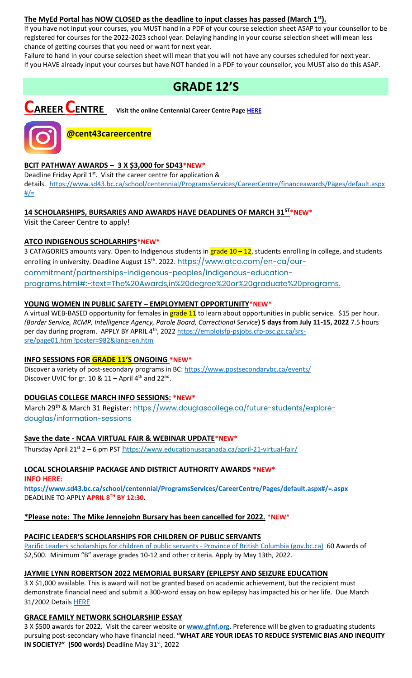## **The MyEd Portal has NOW CLOSED as the deadline to input classes has passed (March 1st).**

If you have not input your courses, you MUST hand in a PDF of your course selection sheet ASAP to your counsellor to be registered for courses for the 2022-2023 school year. Delaying handing in your course selection sheet will mean less chance of getting courses that you need or want for next year.

Failure to hand in your course selection sheet will mean that you will not have any courses scheduled for next year. If you HAVE already input your courses but have NOT handed in a PDF to your counsellor, you MUST also do this ASAP.

# **GRADE 12'S**

**CAREER CENTRE Visit the online Centennial Career Centre Page [HERE](https://www.sd43.bc.ca/school/centennial/ProgramsServices/CareerCentre/experiences/Pages/default.aspx#/=)**



# **@cent43careercentre**

### **BCIT PATHWAY AWARDS – 3 X \$3,000 for SD43\*NEW\***

Deadline Friday April 1<sup>st</sup>. Visit the career centre for application & details. [https://www.sd43.bc.ca/school/centennial/ProgramsServices/CareerCentre/financeawards/Pages/default.aspx](https://www.sd43.bc.ca/school/centennial/ProgramsServices/CareerCentre/financeawards/Pages/default.aspx#/=)  $#/=$ 

# **14 SCHOLARSHIPS, BURSARIES AND AWARDS HAVE DEADLINES OF MARCH 31ST\*NEW\***

Visit the Career Centre to apply!

# **ATCO INDIGENOUS SCHOLARHIPS\*NEW\***

3 CATAGORIES amounts vary. Open to Indigenous students in grade 10 - 12, students enrolling in college, and students enrolling in university. Deadline August 15<sup>th</sup>. 2022. [https://www.atco.com/en-ca/our](https://www.atco.com/en-ca/our-commitment/partnerships-indigenous-peoples/indigenous-education-programs.html#:~:text=The%20Awards,in%20degree%20or%20graduate%20programs.)[commitment/partnerships-indigenous-peoples/indigenous-education](https://www.atco.com/en-ca/our-commitment/partnerships-indigenous-peoples/indigenous-education-programs.html#:~:text=The%20Awards,in%20degree%20or%20graduate%20programs.)[programs.html#:~:text=The%20Awards,in%20degree%20or%20graduate%20programs.](https://www.atco.com/en-ca/our-commitment/partnerships-indigenous-peoples/indigenous-education-programs.html#:~:text=The%20Awards,in%20degree%20or%20graduate%20programs.)

# **YOUNG WOMEN IN PUBLIC SAFETY – EMPLOYMENT OPPORTUNITY\*NEW\***

A virtual WEB-BASED opportunity for females in **grade 11** to learn about opportunities in public service. \$15 per hour. *(Border Service, RCMP, Intelligence Agency, Parole Board, Correctional Service***) 5 days from July 11-15, 2022** 7.5 hours per day during program. APPLY BY APRIL 4<sup>th</sup>, 2022 [https://emploisfp-psjobs.cfp-psc.gc.ca/srs](https://emploisfp-psjobs.cfp-psc.gc.ca/srs-sre/page01.htm?poster=982&lang=en)[sre/page01.htm?poster=982&lang=en.htm](https://emploisfp-psjobs.cfp-psc.gc.ca/srs-sre/page01.htm?poster=982&lang=en)

### **INFO SESSIONS FOR GRADE 11'S ONGOING \*NEW\***

Discover a variety of post-secondary programs in BC:<https://www.postsecondarybc.ca/events/> Discover UVIC for gr.  $10 & 11 -$  April 4<sup>th</sup> and  $22<sup>nd</sup>$ .

# **DOUGLAS COLLEGE MARCH INFO SESSIONS: \*NEW\***

March 29<sup>th</sup> & March 31 Register: [https://www.douglascollege.ca/future-students/explore](https://www.douglascollege.ca/future-students/explore-douglas/information-sessions)[douglas/information-sessions](https://www.douglascollege.ca/future-students/explore-douglas/information-sessions)

### **Save the date - NCAA VIRTUAL FAIR & WEBINAR UPDATE\*NEW\***

Thursday April 21<sup>st</sup> 2 – 6 pm PST h[ttps://www.educationusacanada.ca/april-21-virtual-fair/](https://www.educationusacanada.ca/april-21-virtual-fair/)

# **LOCAL SCHOLARSHIP PACKAGE AND DISTRICT AUTHORITY AWARDS \*NEW\***

**INFO HERE:** 

**[https://www.sd43.bc.ca/school/centennial/ProgramsServices/CareerCentre/Pages/default.aspx#/=.aspx](https://www.sd43.bc.ca/school/centennial/ProgramsServices/CareerCentre/Pages/default.aspx#/=)** DEADLINE TO APPLY **APRIL 8TH BY 12:30.**

### **\*Please note: The Mike Jennejohn Bursary has been cancelled for 2022. \*NEW\***

### **PACIFIC LEADER'S SCHOLARSHIPS FOR CHILDREN OF PUBLIC SERVANTS**

[Pacific Leaders scholarships for children of public servants -](https://www2.gov.bc.ca/gov/content/careers-myhr/all-employees/career-development/pacific-leaders/scholarships-for-children) Province of British Columbia (gov.bc.ca) 60 Awards of \$2,500. Minimum "B" average grades 10-12 and other criteria. Apply by May 13th, 2022.

### **JAYMIE LYNN ROBERTSON 2022 MEMORIAL BURSARY (EPILEPSY AND SEIZURE EDUCATION**

3 X \$1,000 available. This is award will not be granted based on academic achievement, but the recipient must demonstrate financial need and submit a 300-word essay on how epilepsy has impacted his or her life. Due March 31/2002 Details [HERE](https://www.sd43.bc.ca/school/centennial/ProgramsServices/CareerCentre/financeawards/Pages/default.aspx#/=)

### **GRACE FAMILY NETWORK SCHOLARSHIP ESSAY**

3 X \$500 awards for 2022. Visit the career website or **[www.gfnf.org](http://www.gfnf.org/)**. Preference will be given to graduating students pursuing post-secondary who have financial need. **"WHAT ARE YOUR IDEAS TO REDUCE SYSTEMIC BIAS AND INEQUITY IN SOCIETY?"** (500 words) Deadline May 31st, 2022